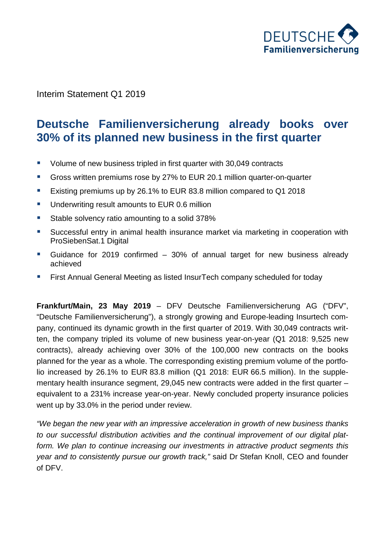

Interim Statement Q1 2019

## **Deutsche Familienversicherung already books over 30% of its planned new business in the first quarter**

- Uolume of new business tripled in first quarter with 30,049 contracts
- Gross written premiums rose by 27% to EUR 20.1 million quarter-on-quarter
- Existing premiums up by 26.1% to EUR 83.8 million compared to Q1 2018
- **Underwriting result amounts to EUR 0.6 million**
- Stable solvency ratio amounting to a solid 378%
- Successful entry in animal health insurance market via marketing in cooperation with ProSiebenSat.1 Digital
- Guidance for 2019 confirmed 30% of annual target for new business already achieved
- **First Annual General Meeting as listed InsurTech company scheduled for today**

**Frankfurt/Main, 23 May 2019** – DFV Deutsche Familienversicherung AG ("DFV", "Deutsche Familienversicherung"), a strongly growing and Europe-leading Insurtech company, continued its dynamic growth in the first quarter of 2019. With 30,049 contracts written, the company tripled its volume of new business year-on-year (Q1 2018: 9,525 new contracts), already achieving over 30% of the 100,000 new contracts on the books planned for the year as a whole. The corresponding existing premium volume of the portfolio increased by 26.1% to EUR 83.8 million (Q1 2018: EUR 66.5 million). In the supplementary health insurance segment, 29,045 new contracts were added in the first quarter – equivalent to a 231% increase year-on-year. Newly concluded property insurance policies went up by 33.0% in the period under review.

"We began the new year with an impressive acceleration in growth of new business thanks to our successful distribution activities and the continual improvement of our digital platform. We plan to continue increasing our investments in attractive product segments this year and to consistently pursue our growth track," said Dr Stefan Knoll, CEO and founder of DFV.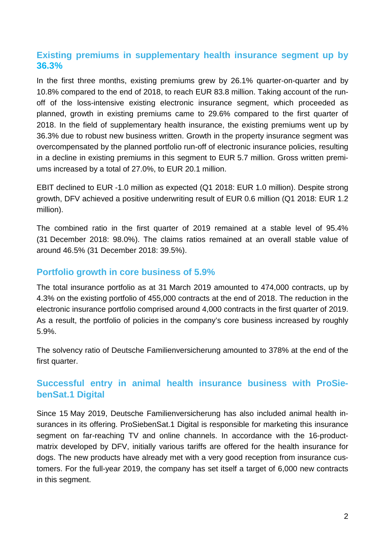### **Existing premiums in supplementary health insurance segment up by 36.3%**

In the first three months, existing premiums grew by 26.1% quarter-on-quarter and by 10.8% compared to the end of 2018, to reach EUR 83.8 million. Taking account of the runoff of the loss-intensive existing electronic insurance segment, which proceeded as planned, growth in existing premiums came to 29.6% compared to the first quarter of 2018. In the field of supplementary health insurance, the existing premiums went up by 36.3% due to robust new business written. Growth in the property insurance segment was overcompensated by the planned portfolio run-off of electronic insurance policies, resulting in a decline in existing premiums in this segment to EUR 5.7 million. Gross written premiums increased by a total of 27.0%, to EUR 20.1 million.

EBIT declined to EUR -1.0 million as expected (Q1 2018: EUR 1.0 million). Despite strong growth, DFV achieved a positive underwriting result of EUR 0.6 million (Q1 2018: EUR 1.2 million).

The combined ratio in the first quarter of 2019 remained at a stable level of 95.4% (31 December 2018: 98.0%). The claims ratios remained at an overall stable value of around 46.5% (31 December 2018: 39.5%).

#### **Portfolio growth in core business of 5.9%**

The total insurance portfolio as at 31 March 2019 amounted to 474,000 contracts, up by 4.3% on the existing portfolio of 455,000 contracts at the end of 2018. The reduction in the electronic insurance portfolio comprised around 4,000 contracts in the first quarter of 2019. As a result, the portfolio of policies in the company's core business increased by roughly 5.9%.

The solvency ratio of Deutsche Familienversicherung amounted to 378% at the end of the first quarter.

### **Successful entry in animal health insurance business with ProSiebenSat.1 Digital**

Since 15 May 2019, Deutsche Familienversicherung has also included animal health insurances in its offering. ProSiebenSat.1 Digital is responsible for marketing this insurance segment on far-reaching TV and online channels. In accordance with the 16-productmatrix developed by DFV, initially various tariffs are offered for the health insurance for dogs. The new products have already met with a very good reception from insurance customers. For the full-year 2019, the company has set itself a target of 6,000 new contracts in this segment.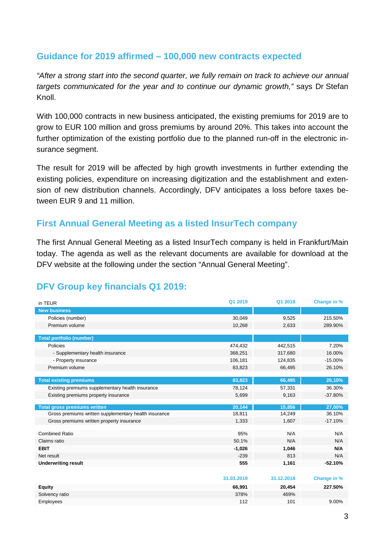#### **Guidance for 2019 affirmed – 100,000 new contracts expected**

"After a strong start into the second quarter, we fully remain on track to achieve our annual targets communicated for the year and to continue our dynamic growth," says Dr Stefan Knoll.

With 100,000 contracts in new business anticipated, the existing premiums for 2019 are to grow to EUR 100 million and gross premiums by around 20%. This takes into account the further optimization of the existing portfolio due to the planned run-off in the electronic insurance segment.

The result for 2019 will be affected by high growth investments in further extending the existing policies, expenditure on increasing digitization and the establishment and extension of new distribution channels. Accordingly, DFV anticipates a loss before taxes between EUR 9 and 11 million.

#### **First Annual General Meeting as a listed InsurTech company**

The first Annual General Meeting as a listed InsurTech company is held in Frankfurt/Main today. The agenda as well as the relevant documents are available for download at the DFV website at the following under the section "Annual General Meeting".

### **DFV Group key financials Q1 2019:**

| in TEUR                                               | Q1 2019    | Q1 2018    | Change in % |
|-------------------------------------------------------|------------|------------|-------------|
| <b>New business</b>                                   |            |            |             |
| Policies (number)                                     | 30,049     | 9,525      | 215.50%     |
| Premium volume                                        | 10,268     | 2,633      | 289.90%     |
| <b>Total portfolio (number)</b>                       |            |            |             |
| Policies                                              | 474,432    | 442,515    | 7.20%       |
| - Supplementary health insurance                      | 368,251    | 317,680    | 16.00%      |
| - Property insurance                                  | 106,181    | 124,835    | $-15.00%$   |
| Premium volume                                        | 83,823     | 66,495     | 26.10%      |
|                                                       |            |            |             |
| <b>Total existing premiums</b>                        | 83,823     | 66,495     | 26,10%      |
| Existing premiums supplementary health insurance      | 78,124     | 57,331     | 36.30%      |
| Existing premiums property insurance                  | 5,699      | 9,163      | $-37.80%$   |
|                                                       |            |            |             |
|                                                       |            |            |             |
| <b>Total gross premiums written</b>                   | 20,144     | 15,856     | 27,00%      |
| Gross premiums written supplementary health insurance | 18,811     | 14,249     | 36.10%      |
| Gross premiums written property insurance             | 1,333      | 1,607      | $-17.10%$   |
| <b>Combined Ratio</b>                                 | 95%        | N/A        | N/A         |
| Claims ratio                                          | 50.1%      | N/A        | N/A         |
| <b>EBIT</b>                                           | $-1,026$   | 1,046      | N/A         |
| Net result                                            | $-239$     | 813        | N/A         |
| <b>Underwriting result</b>                            | 555        | 1,161      | $-52.10%$   |
|                                                       |            |            |             |
|                                                       | 31.03.2019 | 31.12.2018 | Change in % |
| <b>Equity</b>                                         | 66,991     | 20,454     | 227.50%     |
| Solvency ratio                                        | 378%       | 469%       |             |